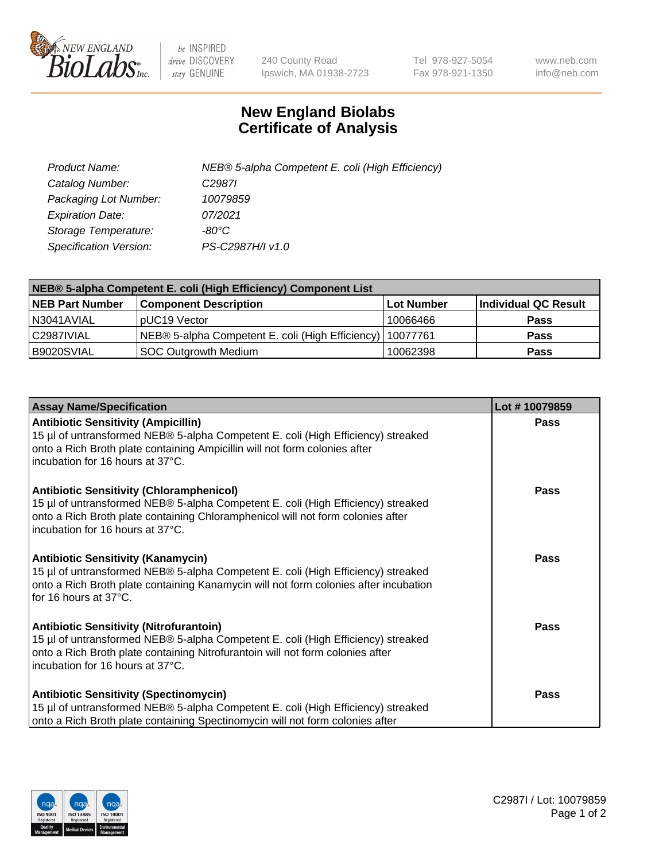

 $be$  INSPIRED drive DISCOVERY stay GENUINE

240 County Road Ipswich, MA 01938-2723 Tel 978-927-5054 Fax 978-921-1350 www.neb.com info@neb.com

## **New England Biolabs Certificate of Analysis**

| Product Name:           | NEB® 5-alpha Competent E. coli (High Efficiency) |
|-------------------------|--------------------------------------------------|
| Catalog Number:         | C <sub>2987</sub>                                |
| Packaging Lot Number:   | 10079859                                         |
| <b>Expiration Date:</b> | 07/2021                                          |
| Storage Temperature:    | -80°C                                            |
| Specification Version:  | PS-C2987H/I v1.0                                 |

| NEB® 5-alpha Competent E. coli (High Efficiency) Component List |                                                  |            |                      |  |
|-----------------------------------------------------------------|--------------------------------------------------|------------|----------------------|--|
| <b>NEB Part Number</b>                                          | <b>Component Description</b>                     | Lot Number | Individual QC Result |  |
| N3041AVIAL                                                      | pUC19 Vector                                     | 10066466   | <b>Pass</b>          |  |
| C2987IVIAL                                                      | NEB® 5-alpha Competent E. coli (High Efficiency) | 10077761   | <b>Pass</b>          |  |
| B9020SVIAL                                                      | <b>SOC Outgrowth Medium</b>                      | 10062398   | <b>Pass</b>          |  |

| <b>Assay Name/Specification</b>                                                                                                                                                                                                                            | Lot #10079859 |
|------------------------------------------------------------------------------------------------------------------------------------------------------------------------------------------------------------------------------------------------------------|---------------|
| <b>Antibiotic Sensitivity (Ampicillin)</b><br>15 µl of untransformed NEB® 5-alpha Competent E. coli (High Efficiency) streaked<br>onto a Rich Broth plate containing Ampicillin will not form colonies after<br>incubation for 16 hours at 37°C.           | Pass          |
| <b>Antibiotic Sensitivity (Chloramphenicol)</b><br>15 µl of untransformed NEB® 5-alpha Competent E. coli (High Efficiency) streaked<br>onto a Rich Broth plate containing Chloramphenicol will not form colonies after<br>incubation for 16 hours at 37°C. | Pass          |
| Antibiotic Sensitivity (Kanamycin)<br>15 µl of untransformed NEB® 5-alpha Competent E. coli (High Efficiency) streaked<br>onto a Rich Broth plate containing Kanamycin will not form colonies after incubation<br>for 16 hours at 37°C.                    | Pass          |
| <b>Antibiotic Sensitivity (Nitrofurantoin)</b><br>15 µl of untransformed NEB® 5-alpha Competent E. coli (High Efficiency) streaked<br>onto a Rich Broth plate containing Nitrofurantoin will not form colonies after<br>incubation for 16 hours at 37°C.   | <b>Pass</b>   |
| <b>Antibiotic Sensitivity (Spectinomycin)</b><br>15 µl of untransformed NEB® 5-alpha Competent E. coli (High Efficiency) streaked<br>onto a Rich Broth plate containing Spectinomycin will not form colonies after                                         | Pass          |